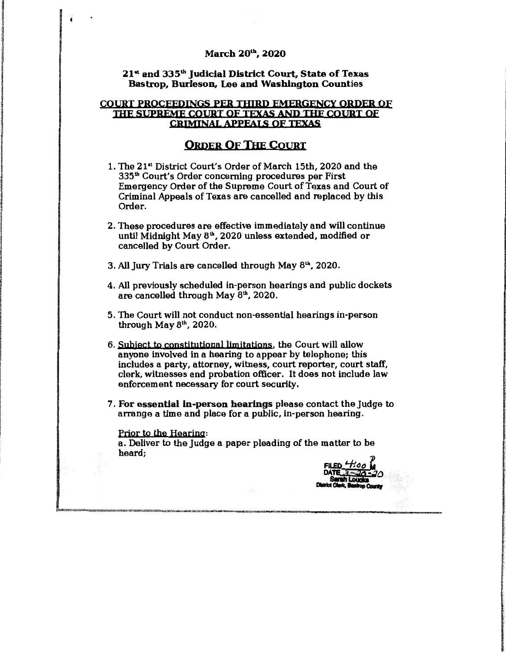## **March 201 11, 2020**

**21 st and 335th Judicial District Court, State of Texas Bastrop, Burleson, Lee and Washington Counties** 

## **COURT PROCEEDINGS PER THIRD EMERGENCY ORDER OF 1JIE SJJPREME COURT OF TEXAS AND THE COURT OF CRIMINAL APPEALS OF TEXAS**

# **ORDER OF THE COURT**

- 1. The 21<sup>st</sup> District Court's Order of March 15th, 2020 and the 335th Court's Order concerning procedures per First Emergency Order of the Supreme Court of Texas and Court of Criminal Appeals of Texas are cancelled and replaced by this Order.
- 2. These procedures are effective immediately and will continue until Midnight May 8<sup>th</sup>, 2020 unless extended, modified or cancelled by Court Order.
- 3. All Jury Trials are cancelled through May  $8<sup>th</sup>$ , 2020.
- 4. All previously scheduled in-person hearings and public dockets are cancelled through May 8<sup>th</sup>, 2020.
- 5. The Court will not conduct non-essential hearings in-person through May  $8<sup>th</sup>$ , 2020.
- 6. Subject to constitutional limitations, the Court will allow anyone involved in a hearing to appear by telephone; this includes a party, attorney, witness, court reporter, court staff, clerk, witnesses and probation officer. It does not include law enforcement necessary for court security.
- 7. **For essential in-person hearings** please contact the Judge to arrange a time and place for a public, in-person hearing.

#### Prior to the Hearing:

**精神的なのである。<br><br><br><br><br><br><br><br><br><br><br><br><br><br><br><br><br><br><br>** 

(Recording to the United States) の Market States (Recording to Market States) の Market States (Recording to Ma<br>States (Recording to Market States)

«

Indonésia (p. 1970)<br>1980 – Paris Lander, professor amerikan pendadaran pendadaran pendadaran pendada pendada pendada pendada pend<br>1980 – Paris Lander, pendada pendada pendada pendada pendada pendada pendada pendada pendada

a. Deliver to the Judge a paper pleading of the matter to be heard;

**FILED**  $\frac{44400 \text{ M}}{200}$ <br>**Barran Loudie**<br>**Barran Loudie District Clerk, Besirop County**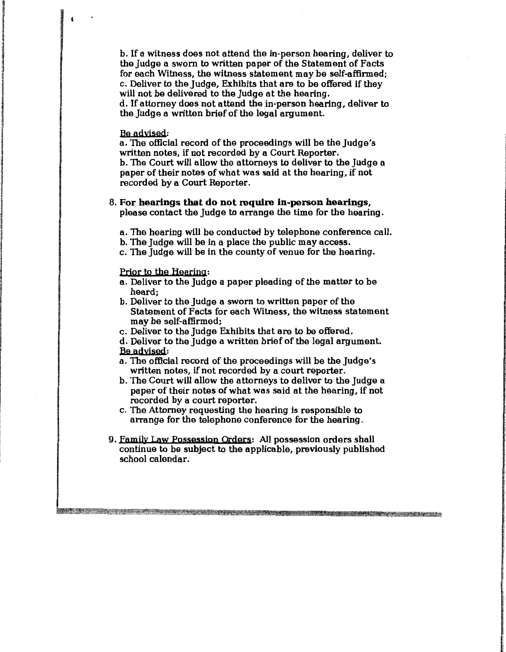b. If a witness does not attend the in-person hearing, deliver to the Judge a sworn to written paper of the Statement of Facts for each Witness, the witness statement may be self-affirmed; c. Deliver to the Judge, Exhibits that are to be offered if they will not be delivered to the Judge at the hearing. d. If attorney does not attend the in-person hearing, deliver to the Judge a written brief of the legal argument.

### Be advised:

a. The official record of the proceedings will be the Judge's written notes, if not recorded by a Court Reporter. b. The Court will allow the attorneys to deliver to the Judge a paper of their notes of what was said at the hearing, if not recorded by a Court Reporter.

- 8. **For bearings that do not require in-person bearings,**  please contact the Judge to arrange the time for the hearing.
	- a. The hearing will be conducted by telephone conference call.
	- b. The Judge will be in a place the public may access.
	- c. The Judge will be in the county of venue for the hearing.

Prior to the Hearing:

- a. Deliver to the Judge a paper pleading of the matter to be heard;
- b. Deliver to the Judge a sworn to written paper of the Statement of Facts for each Witness, the witness statement may be self-affirmed;
- c. Deliver to the Judge Exhibits that are to be offered.

d. Deliver to the Judge a written brief of the legal argument. Be advised:

- a. The official record of the proceedings will be the Judge's written notes, if not recorded by a court reporter.
- b. The Court will allow the attorneys to deliver to the Judge a paper of their notes of what was said at the hearing, if not recorded by a court reporter.
- c. The Attorney requesting the hearing is responsible to arrange for the telephone conference for the hearing.
- 9. Family Law Possession Orders: All possession orders shall continue to be subject to the applicable, previously published school calendar.